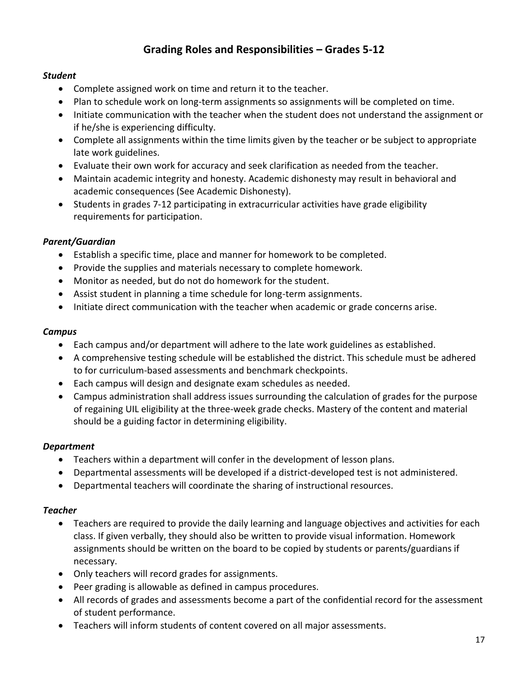# **Grading Roles and Responsibilities – Grades 5-12**

### *Student*

- Complete assigned work on time and return it to the teacher.
- Plan to schedule work on long-term assignments so assignments will be completed on time.
- Initiate communication with the teacher when the student does not understand the assignment or if he/she is experiencing difficulty.
- Complete all assignments within the time limits given by the teacher or be subject to appropriate late work guidelines.
- Evaluate their own work for accuracy and seek clarification as needed from the teacher.
- Maintain academic integrity and honesty. Academic dishonesty may result in behavioral and academic consequences (See Academic Dishonesty).
- Students in grades 7-12 participating in extracurricular activities have grade eligibility requirements for participation.

#### *Parent/Guardian*

- Establish a specific time, place and manner for homework to be completed.
- Provide the supplies and materials necessary to complete homework.
- Monitor as needed, but do not do homework for the student.
- Assist student in planning a time schedule for long-term assignments.
- Initiate direct communication with the teacher when academic or grade concerns arise.

#### *Campus*

- Each campus and/or department will adhere to the late work guidelines as established.
- A comprehensive testing schedule will be established the district. This schedule must be adhered to for curriculum-based assessments and benchmark checkpoints.
- Each campus will design and designate exam schedules as needed.
- Campus administration shall address issues surrounding the calculation of grades for the purpose of regaining UIL eligibility at the three-week grade checks. Mastery of the content and material should be a guiding factor in determining eligibility.

### *Department*

- Teachers within a department will confer in the development of lesson plans.
- Departmental assessments will be developed if a district-developed test is not administered.
- Departmental teachers will coordinate the sharing of instructional resources.

#### *Teacher*

- Teachers are required to provide the daily learning and language objectives and activities for each class. If given verbally, they should also be written to provide visual information. Homework assignments should be written on the board to be copied by students or parents/guardians if necessary.
- Only teachers will record grades for assignments.
- Peer grading is allowable as defined in campus procedures.
- All records of grades and assessments become a part of the confidential record for the assessment of student performance.
- Teachers will inform students of content covered on all major assessments.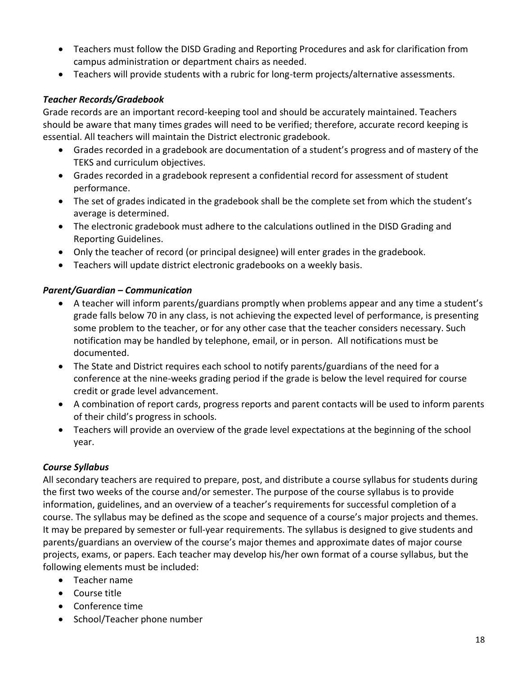- Teachers must follow the DISD Grading and Reporting Procedures and ask for clarification from campus administration or department chairs as needed.
- Teachers will provide students with a rubric for long-term projects/alternative assessments.

# *Teacher Records/Gradebook*

Grade records are an important record-keeping tool and should be accurately maintained. Teachers should be aware that many times grades will need to be verified; therefore, accurate record keeping is essential. All teachers will maintain the District electronic gradebook.

- Grades recorded in a gradebook are documentation of a student's progress and of mastery of the TEKS and curriculum objectives.
- Grades recorded in a gradebook represent a confidential record for assessment of student performance.
- The set of grades indicated in the gradebook shall be the complete set from which the student's average is determined.
- The electronic gradebook must adhere to the calculations outlined in the DISD Grading and Reporting Guidelines.
- Only the teacher of record (or principal designee) will enter grades in the gradebook.
- Teachers will update district electronic gradebooks on a weekly basis.

# *Parent/Guardian – Communication*

- A teacher will inform parents/guardians promptly when problems appear and any time a student's grade falls below 70 in any class, is not achieving the expected level of performance, is presenting some problem to the teacher, or for any other case that the teacher considers necessary. Such notification may be handled by telephone, email, or in person. All notifications must be documented.
- The State and District requires each school to notify parents/guardians of the need for a conference at the nine-weeks grading period if the grade is below the level required for course credit or grade level advancement.
- A combination of report cards, progress reports and parent contacts will be used to inform parents of their child's progress in schools.
- Teachers will provide an overview of the grade level expectations at the beginning of the school year.

# *Course Syllabus*

All secondary teachers are required to prepare, post, and distribute a course syllabus for students during the first two weeks of the course and/or semester. The purpose of the course syllabus is to provide information, guidelines, and an overview of a teacher's requirements for successful completion of a course. The syllabus may be defined as the scope and sequence of a course's major projects and themes. It may be prepared by semester or full-year requirements. The syllabus is designed to give students and parents/guardians an overview of the course's major themes and approximate dates of major course projects, exams, or papers. Each teacher may develop his/her own format of a course syllabus, but the following elements must be included:

- Teacher name
- Course title
- Conference time
- School/Teacher phone number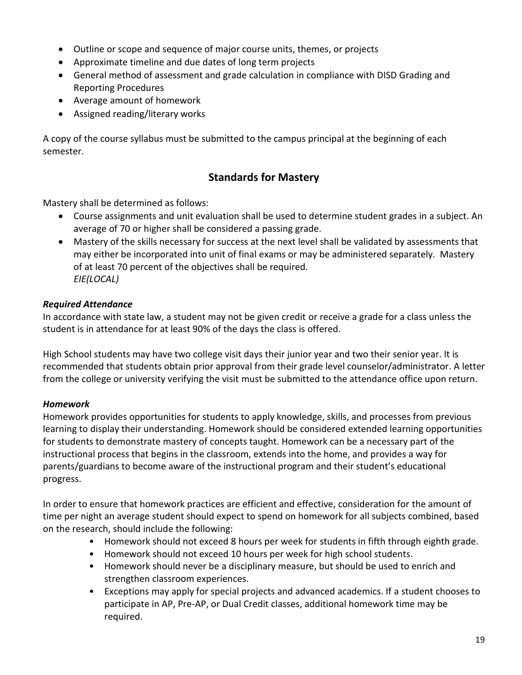- Outline or scope and sequence of major course units, themes, or projects
- Approximate timeline and due dates of long term projects
- General method of assessment and grade calculation in compliance with DISD Grading and Reporting Procedures
- Average amount of homework
- Assigned reading/literary works

A copy of the course syllabus must be submitted to the campus principal at the beginning of each semester.

# **Standards for Mastery**

Mastery shall be determined as follows:

- Course assignments and unit evaluation shall be used to determine student grades in a subject. An average of 70 or higher shall be considered a passing grade.
- Mastery of the skills necessary for success at the next level shall be validated by assessments that may either be incorporated into unit of final exams or may be administered separately. Mastery of at least 70 percent of the objectives shall be required. *EIE(LOCAL)*

# *Required Attendance*

In accordance with state law, a student may not be given credit or receive a grade for a class unless the student is in attendance for at least 90% of the days the class is offered.

High School students may have two college visit days their junior year and two their senior year. It is recommended that students obtain prior approval from their grade level counselor/administrator. A letter from the college or university verifying the visit must be submitted to the attendance office upon return.

# *Homework*

Homework provides opportunities for students to apply knowledge, skills, and processes from previous learning to display their understanding. Homework should be considered extended learning opportunities for students to demonstrate mastery of concepts taught. Homework can be a necessary part of the instructional process that begins in the classroom, extends into the home, and provides a way for parents/guardians to become aware of the instructional program and their student's educational progress.

In order to ensure that homework practices are efficient and effective, consideration for the amount of time per night an average student should expect to spend on homework for all subjects combined, based on the research, should include the following:

- Homework should not exceed 8 hours per week for students in fifth through eighth grade.
- Homework should not exceed 10 hours per week for high school students.
- Homework should never be a disciplinary measure, but should be used to enrich and strengthen classroom experiences.
- Exceptions may apply for special projects and advanced academics. If a student chooses to participate in AP, Pre-AP, or Dual Credit classes, additional homework time may be required.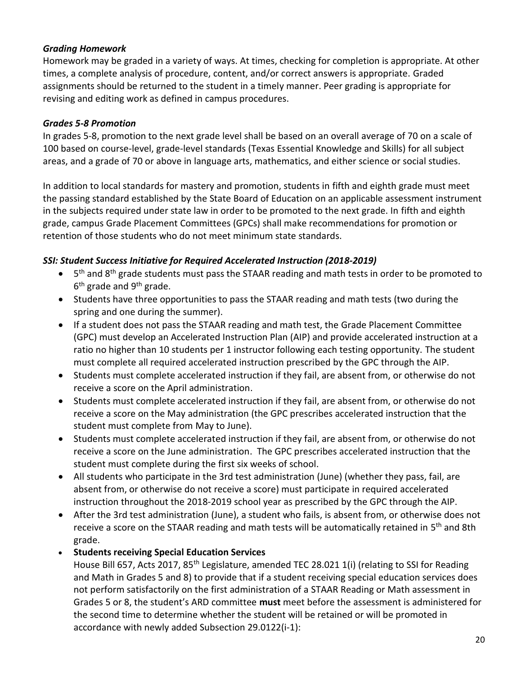### *Grading Homework*

Homework may be graded in a variety of ways. At times, checking for completion is appropriate. At other times, a complete analysis of procedure, content, and/or correct answers is appropriate. Graded assignments should be returned to the student in a timely manner. Peer grading is appropriate for revising and editing work as defined in campus procedures.

### *Grades 5-8 Promotion*

In grades 5-8, promotion to the next grade level shall be based on an overall average of 70 on a scale of 100 based on course-level, grade-level standards (Texas Essential Knowledge and Skills) for all subject areas, and a grade of 70 or above in language arts, mathematics, and either science or social studies.

In addition to local standards for mastery and promotion, students in fifth and eighth grade must meet the passing standard established by the State Board of Education on an applicable assessment instrument in the subjects required under state law in order to be promoted to the next grade. In fifth and eighth grade, campus Grade Placement Committees (GPCs) shall make recommendations for promotion or retention of those students who do not meet minimum state standards.

# *SSI: Student Success Initiative for Required Accelerated Instruction (2018-2019)*

- $\bullet$ <sup>th</sup> and 8<sup>th</sup> grade students must pass the STAAR reading and math tests in order to be promoted to 6<sup>th</sup> grade and 9<sup>th</sup> grade.
- Students have three opportunities to pass the STAAR reading and math tests (two during the spring and one during the summer).
- If a student does not pass the STAAR reading and math test, the Grade Placement Committee (GPC) must develop an Accelerated Instruction Plan (AIP) and provide accelerated instruction at a ratio no higher than 10 students per 1 instructor following each testing opportunity. The student must complete all required accelerated instruction prescribed by the GPC through the AIP.
- Students must complete accelerated instruction if they fail, are absent from, or otherwise do not receive a score on the April administration.
- Students must complete accelerated instruction if they fail, are absent from, or otherwise do not receive a score on the May administration (the GPC prescribes accelerated instruction that the student must complete from May to June).
- Students must complete accelerated instruction if they fail, are absent from, or otherwise do not receive a score on the June administration. The GPC prescribes accelerated instruction that the student must complete during the first six weeks of school.
- All students who participate in the 3rd test administration (June) (whether they pass, fail, are absent from, or otherwise do not receive a score) must participate in required accelerated instruction throughout the 2018-2019 school year as prescribed by the GPC through the AIP.
- After the 3rd test administration (June), a student who fails, is absent from, or otherwise does not receive a score on the STAAR reading and math tests will be automatically retained in 5<sup>th</sup> and 8th grade.
- **Students receiving Special Education Services**

House Bill 657, Acts 2017, 85<sup>th</sup> Legislature, amended TEC 28.021 1(i) (relating to SSI for Reading and Math in Grades 5 and 8) to provide that if a student receiving special education services does not perform satisfactorily on the first administration of a STAAR Reading or Math assessment in Grades 5 or 8, the student's ARD committee **must** meet before the assessment is administered for the second time to determine whether the student will be retained or will be promoted in accordance with newly added Subsection 29.0122(i-1):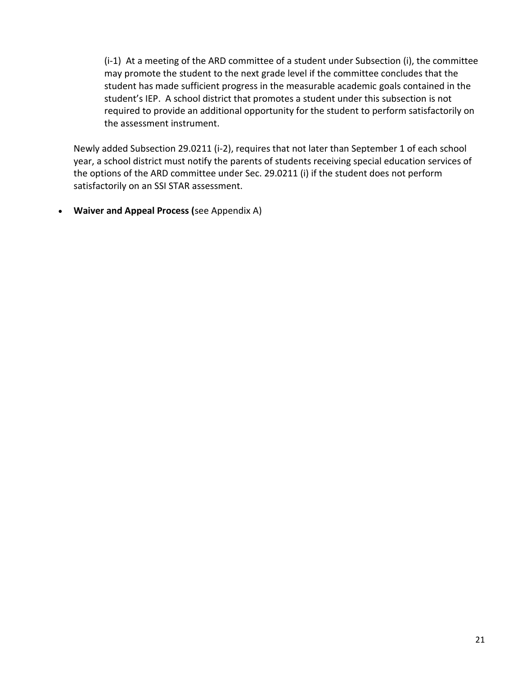(i-1) At a meeting of the ARD committee of a student under Subsection (i), the committee may promote the student to the next grade level if the committee concludes that the student has made sufficient progress in the measurable academic goals contained in the student's IEP. A school district that promotes a student under this subsection is not required to provide an additional opportunity for the student to perform satisfactorily on the assessment instrument.

Newly added Subsection 29.0211 (i-2), requires that not later than September 1 of each school year, a school district must notify the parents of students receiving special education services of the options of the ARD committee under Sec. 29.0211 (i) if the student does not perform satisfactorily on an SSI STAR assessment.

**Waiver and Appeal Process (**see Appendix A)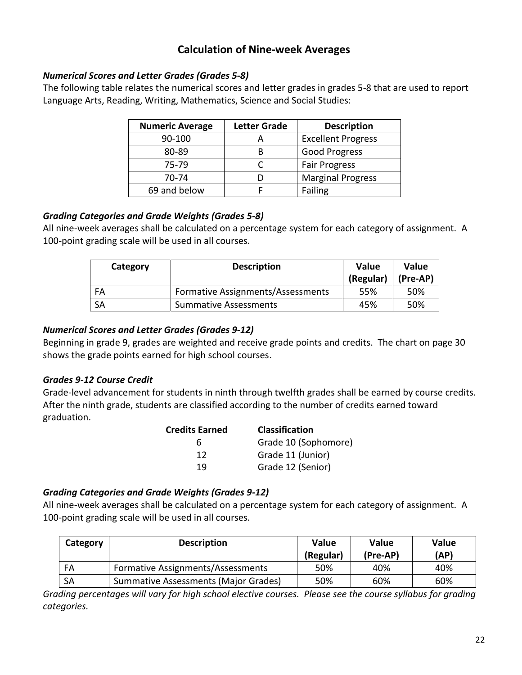# **Calculation of Nine-week Averages**

### *Numerical Scores and Letter Grades (Grades 5-8)*

The following table relates the numerical scores and letter grades in grades 5-8 that are used to report Language Arts, Reading, Writing, Mathematics, Science and Social Studies:

| <b>Numeric Average</b> | <b>Letter Grade</b> | <b>Description</b>        |
|------------------------|---------------------|---------------------------|
| 90-100                 |                     | <b>Excellent Progress</b> |
| 80-89                  | R                   | <b>Good Progress</b>      |
| 75-79                  |                     | <b>Fair Progress</b>      |
| 70-74                  |                     | <b>Marginal Progress</b>  |
| 69 and below           |                     | Failing                   |

### *Grading Categories and Grade Weights (Grades 5-8)*

All nine-week averages shall be calculated on a percentage system for each category of assignment. A 100-point grading scale will be used in all courses.

| Category  | <b>Description</b>                | Value<br>(Regular) | <b>Value</b><br>(Pre-AP) |  |
|-----------|-----------------------------------|--------------------|--------------------------|--|
| FA        | Formative Assignments/Assessments | 55%                | 50%                      |  |
| <b>SA</b> | <b>Summative Assessments</b>      | 45%                | 50%                      |  |

### *Numerical Scores and Letter Grades (Grades 9-12)*

Beginning in grade 9, grades are weighted and receive grade points and credits. The chart on page 30 shows the grade points earned for high school courses.

# *Grades 9-12 Course Credit*

Grade-level advancement for students in ninth through twelfth grades shall be earned by course credits. After the ninth grade, students are classified according to the number of credits earned toward graduation.

| <b>Credits Earned</b> | <b>Classification</b> |
|-----------------------|-----------------------|
| h                     | Grade 10 (Sophomore)  |
| 12                    | Grade 11 (Junior)     |
| 19                    | Grade 12 (Senior)     |

# *Grading Categories and Grade Weights (Grades 9-12)*

All nine-week averages shall be calculated on a percentage system for each category of assignment. A 100-point grading scale will be used in all courses.

| Category | <b>Description</b>                   | <b>Value</b><br>(Regular) | <b>Value</b><br>(Pre-AP) | <b>Value</b><br>(AP) |
|----------|--------------------------------------|---------------------------|--------------------------|----------------------|
| FA       | Formative Assignments/Assessments    | 50%                       | 40%                      | 40%                  |
| SA       | Summative Assessments (Major Grades) | 50%                       | 60%                      | 60%                  |

*Grading percentages will vary for high school elective courses. Please see the course syllabus for grading categories.*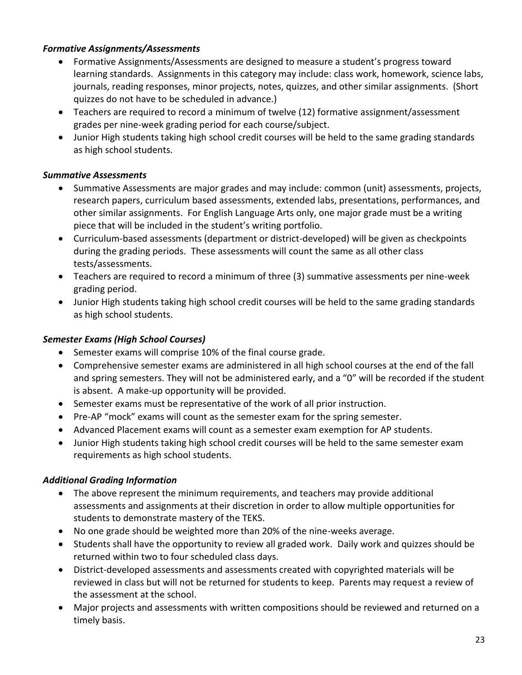### *Formative Assignments/Assessments*

- Formative Assignments/Assessments are designed to measure a student's progress toward learning standards. Assignments in this category may include: class work, homework, science labs, journals, reading responses, minor projects, notes, quizzes, and other similar assignments. (Short quizzes do not have to be scheduled in advance.)
- Teachers are required to record a minimum of twelve (12) formative assignment/assessment grades per nine-week grading period for each course/subject.
- Junior High students taking high school credit courses will be held to the same grading standards as high school students.

# *Summative Assessments*

- Summative Assessments are major grades and may include: common (unit) assessments, projects, research papers, curriculum based assessments, extended labs, presentations, performances, and other similar assignments. For English Language Arts only, one major grade must be a writing piece that will be included in the student's writing portfolio.
- Curriculum-based assessments (department or district-developed) will be given as checkpoints during the grading periods. These assessments will count the same as all other class tests/assessments.
- Teachers are required to record a minimum of three (3) summative assessments per nine-week grading period.
- Junior High students taking high school credit courses will be held to the same grading standards as high school students.

# *Semester Exams (High School Courses)*

- Semester exams will comprise 10% of the final course grade.
- Comprehensive semester exams are administered in all high school courses at the end of the fall and spring semesters. They will not be administered early, and a "0" will be recorded if the student is absent. A make-up opportunity will be provided.
- Semester exams must be representative of the work of all prior instruction.
- Pre-AP "mock" exams will count as the semester exam for the spring semester.
- Advanced Placement exams will count as a semester exam exemption for AP students.
- Junior High students taking high school credit courses will be held to the same semester exam requirements as high school students.

# *Additional Grading Information*

- The above represent the minimum requirements, and teachers may provide additional assessments and assignments at their discretion in order to allow multiple opportunities for students to demonstrate mastery of the TEKS.
- No one grade should be weighted more than 20% of the nine-weeks average.
- Students shall have the opportunity to review all graded work. Daily work and quizzes should be returned within two to four scheduled class days.
- District-developed assessments and assessments created with copyrighted materials will be reviewed in class but will not be returned for students to keep. Parents may request a review of the assessment at the school.
- Major projects and assessments with written compositions should be reviewed and returned on a timely basis.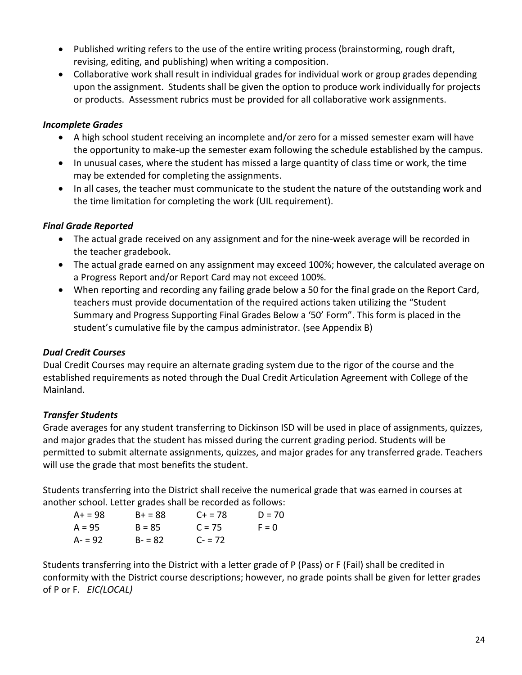- Published writing refers to the use of the entire writing process (brainstorming, rough draft, revising, editing, and publishing) when writing a composition.
- Collaborative work shall result in individual grades for individual work or group grades depending upon the assignment. Students shall be given the option to produce work individually for projects or products. Assessment rubrics must be provided for all collaborative work assignments.

# *Incomplete Grades*

- A high school student receiving an incomplete and/or zero for a missed semester exam will have the opportunity to make-up the semester exam following the schedule established by the campus.
- In unusual cases, where the student has missed a large quantity of class time or work, the time may be extended for completing the assignments.
- In all cases, the teacher must communicate to the student the nature of the outstanding work and the time limitation for completing the work (UIL requirement).

# *Final Grade Reported*

- The actual grade received on any assignment and for the nine-week average will be recorded in the teacher gradebook.
- The actual grade earned on any assignment may exceed 100%; however, the calculated average on a Progress Report and/or Report Card may not exceed 100%.
- When reporting and recording any failing grade below a 50 for the final grade on the Report Card, teachers must provide documentation of the required actions taken utilizing the "Student Summary and Progress Supporting Final Grades Below a '50' Form". This form is placed in the student's cumulative file by the campus administrator. (see Appendix B)

# *Dual Credit Courses*

Dual Credit Courses may require an alternate grading system due to the rigor of the course and the established requirements as noted through the Dual Credit Articulation Agreement with College of the Mainland.

# *Transfer Students*

Grade averages for any student transferring to Dickinson ISD will be used in place of assignments, quizzes, and major grades that the student has missed during the current grading period. Students will be permitted to submit alternate assignments, quizzes, and major grades for any transferred grade. Teachers will use the grade that most benefits the student.

Students transferring into the District shall receive the numerical grade that was earned in courses at another school. Letter grades shall be recorded as follows:

| $A+ = 98$ | $B+ = 88$ | $C + = 78$ | $D = 70$ |
|-----------|-----------|------------|----------|
| $A = 95$  | $B = 85$  | $C = 75$   | $F = 0$  |
| A- = 92   | $B - 82$  | $C - 72$   |          |

Students transferring into the District with a letter grade of P (Pass) or F (Fail) shall be credited in conformity with the District course descriptions; however, no grade points shall be given for letter grades of P or F. *EIC(LOCAL)*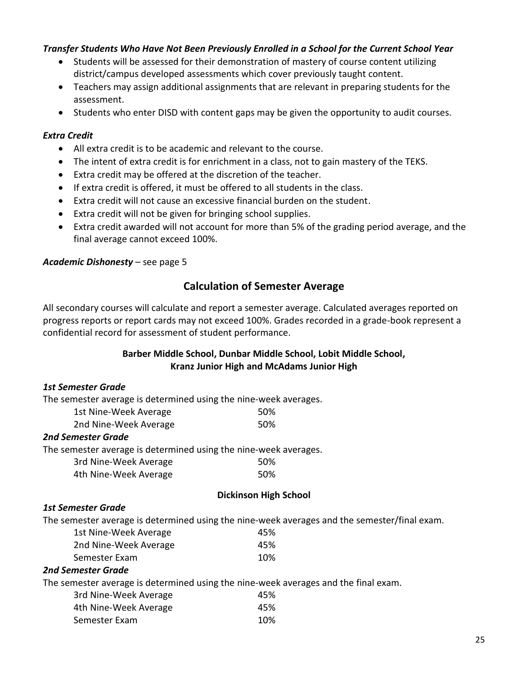#### *Transfer Students Who Have Not Been Previously Enrolled in a School for the Current School Year*

- Students will be assessed for their demonstration of mastery of course content utilizing district/campus developed assessments which cover previously taught content.
- Teachers may assign additional assignments that are relevant in preparing students for the assessment.
- Students who enter DISD with content gaps may be given the opportunity to audit courses.

#### *Extra Credit*

- All extra credit is to be academic and relevant to the course.
- The intent of extra credit is for enrichment in a class, not to gain mastery of the TEKS.
- Extra credit may be offered at the discretion of the teacher.
- If extra credit is offered, it must be offered to all students in the class.
- Extra credit will not cause an excessive financial burden on the student.
- Extra credit will not be given for bringing school supplies.
- Extra credit awarded will not account for more than 5% of the grading period average, and the final average cannot exceed 100%.

#### *Academic Dishonesty* – see page 5

# **Calculation of Semester Average**

All secondary courses will calculate and report a semester average. Calculated averages reported on progress reports or report cards may not exceed 100%. Grades recorded in a grade-book represent a confidential record for assessment of student performance.

### **Barber Middle School, Dunbar Middle School, Lobit Middle School, Kranz Junior High and McAdams Junior High**

#### *1st Semester Grade*

The semester average is determined using the nine-week averages.

| 1st Nine-Week Average | 50% |
|-----------------------|-----|
| 2nd Nine-Week Average | 50% |

#### *2nd Semester Grade*

The semester average is determined using the nine-week averages.

| 3rd Nine-Week Average | 50% |
|-----------------------|-----|
| 4th Nine-Week Average | 50% |

#### **Dickinson High School**

#### *1st Semester Grade*

The semester average is determined using the nine-week averages and the semester/final exam.

| 1st Nine-Week Average | 45% |
|-----------------------|-----|
| 2nd Nine-Week Average | 45% |
| Semester Exam         | 10% |

#### *2nd Semester Grade*

The semester average is determined using the nine-week averages and the final exam.

| 3rd Nine-Week Average | 45% |
|-----------------------|-----|
| 4th Nine-Week Average | 45% |
| Semester Exam         | 10% |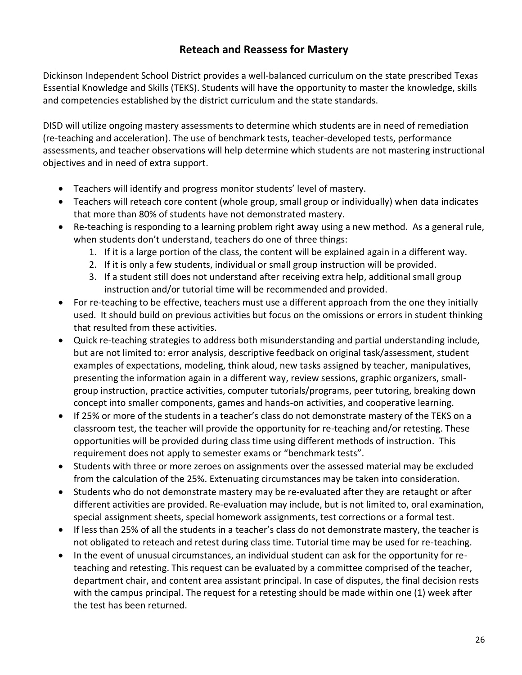# **Reteach and Reassess for Mastery**

Dickinson Independent School District provides a well-balanced curriculum on the state prescribed Texas Essential Knowledge and Skills (TEKS). Students will have the opportunity to master the knowledge, skills and competencies established by the district curriculum and the state standards.

DISD will utilize ongoing mastery assessments to determine which students are in need of remediation (re-teaching and acceleration). The use of benchmark tests, teacher-developed tests, performance assessments, and teacher observations will help determine which students are not mastering instructional objectives and in need of extra support.

- Teachers will identify and progress monitor students' level of mastery.
- Teachers will reteach core content (whole group, small group or individually) when data indicates that more than 80% of students have not demonstrated mastery.
- Re-teaching is responding to a learning problem right away using a new method. As a general rule, when students don't understand, teachers do one of three things:
	- 1. If it is a large portion of the class, the content will be explained again in a different way.
	- 2. If it is only a few students, individual or small group instruction will be provided.
	- 3. If a student still does not understand after receiving extra help, additional small group instruction and/or tutorial time will be recommended and provided.
- For re-teaching to be effective, teachers must use a different approach from the one they initially used. It should build on previous activities but focus on the omissions or errors in student thinking that resulted from these activities.
- Quick re-teaching strategies to address both misunderstanding and partial understanding include, but are not limited to: error analysis, descriptive feedback on original task/assessment, student examples of expectations, modeling, think aloud, new tasks assigned by teacher, manipulatives, presenting the information again in a different way, review sessions, graphic organizers, smallgroup instruction, practice activities, computer tutorials/programs, peer tutoring, breaking down concept into smaller components, games and hands-on activities, and cooperative learning.
- If 25% or more of the students in a teacher's class do not demonstrate mastery of the TEKS on a classroom test, the teacher will provide the opportunity for re-teaching and/or retesting. These opportunities will be provided during class time using different methods of instruction. This requirement does not apply to semester exams or "benchmark tests".
- Students with three or more zeroes on assignments over the assessed material may be excluded from the calculation of the 25%. Extenuating circumstances may be taken into consideration.
- Students who do not demonstrate mastery may be re-evaluated after they are retaught or after different activities are provided. Re-evaluation may include, but is not limited to, oral examination, special assignment sheets, special homework assignments, test corrections or a formal test.
- If less than 25% of all the students in a teacher's class do not demonstrate mastery, the teacher is not obligated to reteach and retest during class time. Tutorial time may be used for re-teaching.
- In the event of unusual circumstances, an individual student can ask for the opportunity for reteaching and retesting. This request can be evaluated by a committee comprised of the teacher, department chair, and content area assistant principal. In case of disputes, the final decision rests with the campus principal. The request for a retesting should be made within one (1) week after the test has been returned.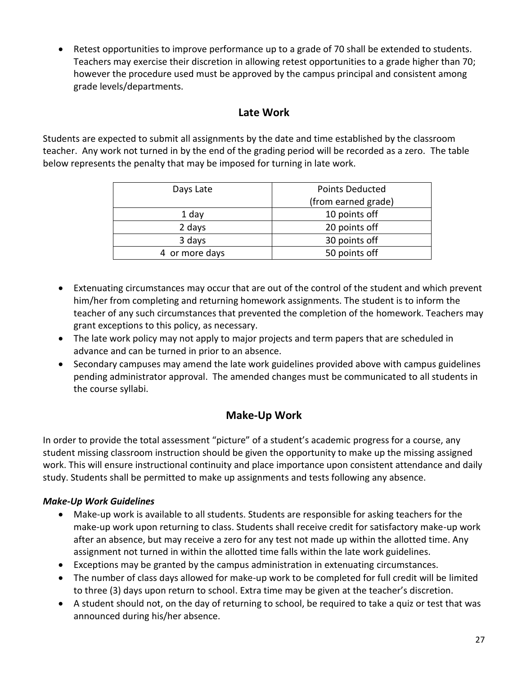Retest opportunities to improve performance up to a grade of 70 shall be extended to students. Teachers may exercise their discretion in allowing retest opportunities to a grade higher than 70; however the procedure used must be approved by the campus principal and consistent among grade levels/departments.

# **Late Work**

Students are expected to submit all assignments by the date and time established by the classroom teacher. Any work not turned in by the end of the grading period will be recorded as a zero. The table below represents the penalty that may be imposed for turning in late work.

| Days Late      | <b>Points Deducted</b> |  |
|----------------|------------------------|--|
|                | (from earned grade)    |  |
| 1 day          | 10 points off          |  |
| 2 days         | 20 points off          |  |
| 3 days         | 30 points off          |  |
| 4 or more days | 50 points off          |  |

- Extenuating circumstances may occur that are out of the control of the student and which prevent him/her from completing and returning homework assignments. The student is to inform the teacher of any such circumstances that prevented the completion of the homework. Teachers may grant exceptions to this policy, as necessary.
- The late work policy may not apply to major projects and term papers that are scheduled in advance and can be turned in prior to an absence.
- Secondary campuses may amend the late work guidelines provided above with campus guidelines pending administrator approval. The amended changes must be communicated to all students in the course syllabi.

# **Make-Up Work**

In order to provide the total assessment "picture" of a student's academic progress for a course, any student missing classroom instruction should be given the opportunity to make up the missing assigned work. This will ensure instructional continuity and place importance upon consistent attendance and daily study. Students shall be permitted to make up assignments and tests following any absence.

# *Make-Up Work Guidelines*

- Make-up work is available to all students. Students are responsible for asking teachers for the make-up work upon returning to class. Students shall receive credit for satisfactory make-up work after an absence, but may receive a zero for any test not made up within the allotted time. Any assignment not turned in within the allotted time falls within the late work guidelines.
- Exceptions may be granted by the campus administration in extenuating circumstances.
- The number of class days allowed for make-up work to be completed for full credit will be limited to three (3) days upon return to school. Extra time may be given at the teacher's discretion.
- A student should not, on the day of returning to school, be required to take a quiz or test that was announced during his/her absence.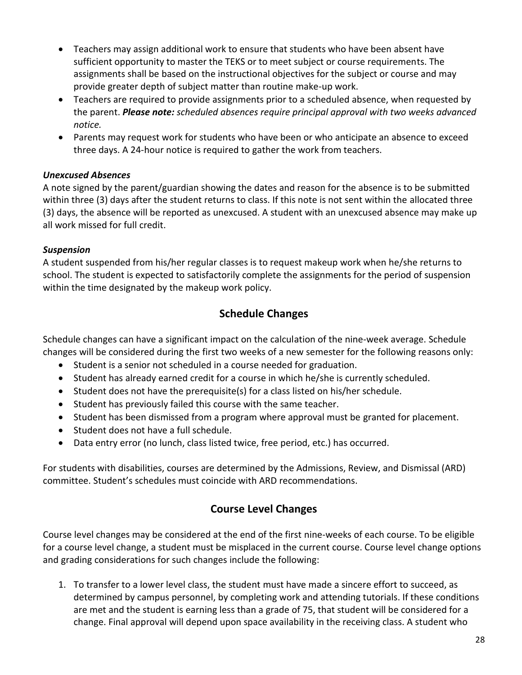- Teachers may assign additional work to ensure that students who have been absent have sufficient opportunity to master the TEKS or to meet subject or course requirements. The assignments shall be based on the instructional objectives for the subject or course and may provide greater depth of subject matter than routine make-up work.
- Teachers are required to provide assignments prior to a scheduled absence, when requested by the parent. *Please note: scheduled absences require principal approval with two weeks advanced notice.*
- Parents may request work for students who have been or who anticipate an absence to exceed three days. A 24-hour notice is required to gather the work from teachers.

# *Unexcused Absences*

A note signed by the parent/guardian showing the dates and reason for the absence is to be submitted within three (3) days after the student returns to class. If this note is not sent within the allocated three (3) days, the absence will be reported as unexcused. A student with an unexcused absence may make up all work missed for full credit.

# *Suspension*

A student suspended from his/her regular classes is to request makeup work when he/she returns to school. The student is expected to satisfactorily complete the assignments for the period of suspension within the time designated by the makeup work policy.

# **Schedule Changes**

Schedule changes can have a significant impact on the calculation of the nine-week average. Schedule changes will be considered during the first two weeks of a new semester for the following reasons only:

- Student is a senior not scheduled in a course needed for graduation.
- Student has already earned credit for a course in which he/she is currently scheduled.
- Student does not have the prerequisite(s) for a class listed on his/her schedule.
- Student has previously failed this course with the same teacher.
- Student has been dismissed from a program where approval must be granted for placement.
- Student does not have a full schedule.
- Data entry error (no lunch, class listed twice, free period, etc.) has occurred.

For students with disabilities, courses are determined by the Admissions, Review, and Dismissal (ARD) committee. Student's schedules must coincide with ARD recommendations.

# **Course Level Changes**

Course level changes may be considered at the end of the first nine-weeks of each course. To be eligible for a course level change, a student must be misplaced in the current course. Course level change options and grading considerations for such changes include the following:

1. To transfer to a lower level class, the student must have made a sincere effort to succeed, as determined by campus personnel, by completing work and attending tutorials. If these conditions are met and the student is earning less than a grade of 75, that student will be considered for a change. Final approval will depend upon space availability in the receiving class. A student who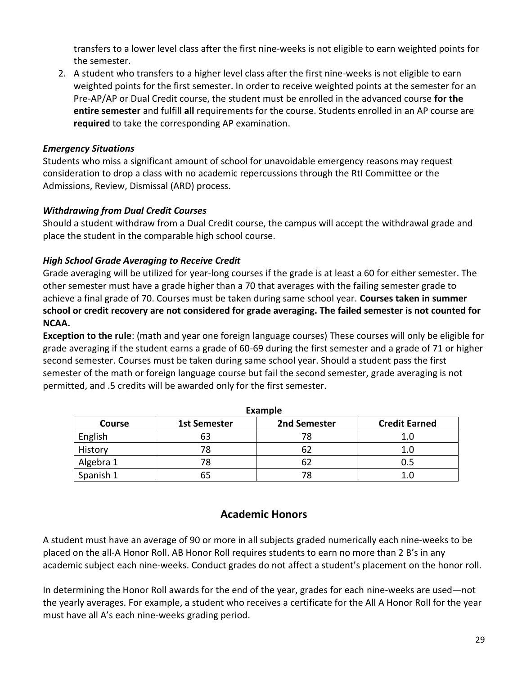transfers to a lower level class after the first nine-weeks is not eligible to earn weighted points for the semester.

2. A student who transfers to a higher level class after the first nine-weeks is not eligible to earn weighted points for the first semester. In order to receive weighted points at the semester for an Pre-AP/AP or Dual Credit course, the student must be enrolled in the advanced course **for the entire semester** and fulfill **all** requirements for the course. Students enrolled in an AP course are **required** to take the corresponding AP examination.

### *Emergency Situations*

Students who miss a significant amount of school for unavoidable emergency reasons may request consideration to drop a class with no academic repercussions through the RtI Committee or the Admissions, Review, Dismissal (ARD) process.

### *Withdrawing from Dual Credit Courses*

Should a student withdraw from a Dual Credit course, the campus will accept the withdrawal grade and place the student in the comparable high school course.

# *High School Grade Averaging to Receive Credit*

Grade averaging will be utilized for year-long courses if the grade is at least a 60 for either semester. The other semester must have a grade higher than a 70 that averages with the failing semester grade to achieve a final grade of 70. Courses must be taken during same school year. **Courses taken in summer school or credit recovery are not considered for grade averaging. The failed semester is not counted for NCAA.** 

**Exception to the rule**: (math and year one foreign language courses) These courses will only be eligible for grade averaging if the student earns a grade of 60-69 during the first semester and a grade of 71 or higher second semester. Courses must be taken during same school year. Should a student pass the first semester of the math or foreign language course but fail the second semester, grade averaging is not permitted, and .5 credits will be awarded only for the first semester.

| Example       |                     |              |                      |  |
|---------------|---------------------|--------------|----------------------|--|
| <b>Course</b> | <b>1st Semester</b> | 2nd Semester | <b>Credit Earned</b> |  |
| English       | 63                  | 78           | 1.0                  |  |
| History       | 78                  | 62           | 1.0                  |  |
| Algebra 1     | 78                  | 62           | 0.5                  |  |
| Spanish 1     | 65                  | 78           |                      |  |

# **Academic Honors**

A student must have an average of 90 or more in all subjects graded numerically each nine-weeks to be placed on the all-A Honor Roll. AB Honor Roll requires students to earn no more than 2 B's in any academic subject each nine-weeks. Conduct grades do not affect a student's placement on the honor roll.

In determining the Honor Roll awards for the end of the year, grades for each nine-weeks are used—not the yearly averages. For example, a student who receives a certificate for the All A Honor Roll for the year must have all A's each nine-weeks grading period.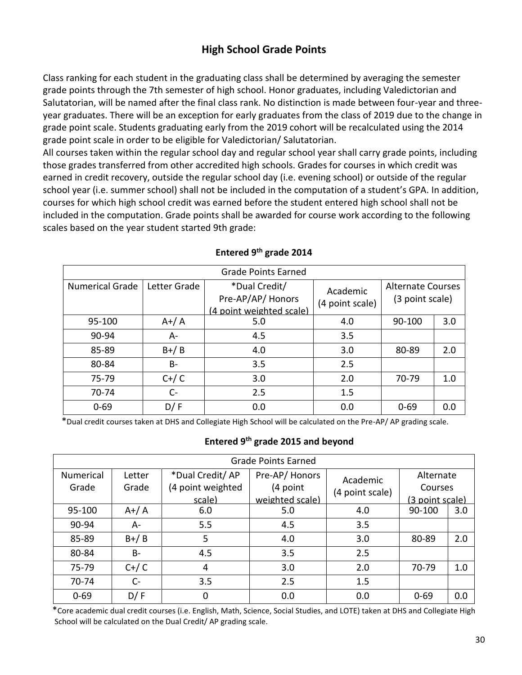# **High School Grade Points**

Class ranking for each student in the graduating class shall be determined by averaging the semester grade points through the 7th semester of high school. Honor graduates, including Valedictorian and Salutatorian, will be named after the final class rank. No distinction is made between four-year and threeyear graduates. There will be an exception for early graduates from the class of 2019 due to the change in grade point scale. Students graduating early from the 2019 cohort will be recalculated using the 2014 grade point scale in order to be eligible for Valedictorian/ Salutatorian.

All courses taken within the regular school day and regular school year shall carry grade points, including those grades transferred from other accredited high schools. Grades for courses in which credit was earned in credit recovery, outside the regular school day (i.e. evening school) or outside of the regular school year (i.e. summer school) shall not be included in the computation of a student's GPA. In addition, courses for which high school credit was earned before the student entered high school shall not be included in the computation. Grade points shall be awarded for course work according to the following scales based on the year student started 9th grade:

| <b>Grade Points Earned</b> |              |                                                               |                             |                                             |     |
|----------------------------|--------------|---------------------------------------------------------------|-----------------------------|---------------------------------------------|-----|
| <b>Numerical Grade</b>     | Letter Grade | *Dual Credit/<br>Pre-AP/AP/Honors<br>(4 point weighted scale) | Academic<br>(4 point scale) | <b>Alternate Courses</b><br>(3 point scale) |     |
| 95-100                     | $A+ / A$     | 5.0                                                           | 4.0                         | 90-100                                      | 3.0 |
| 90-94                      | A-           | 4.5                                                           | 3.5                         |                                             |     |
| 85-89                      | $B+/B$       | 4.0                                                           | 3.0                         | 80-89                                       | 2.0 |
| 80-84                      | <b>B-</b>    | 3.5                                                           | 2.5                         |                                             |     |
| 75-79                      | $C+ / C$     | 3.0                                                           | 2.0                         | 70-79                                       | 1.0 |
| 70-74                      | $C -$        | 2.5                                                           | 1.5                         |                                             |     |
| $0 - 69$                   | D/ F         | 0.0                                                           | 0.0                         | $0 - 69$                                    | 0.0 |

#### **Entered 9th grade 2014**

\*Dual credit courses taken at DHS and Collegiate High School will be calculated on the Pre-AP/ AP grading scale.

### **Entered 9th grade 2015 and beyond**

| <b>Grade Points Earned</b> |           |                   |                 |                 |                 |     |  |
|----------------------------|-----------|-------------------|-----------------|-----------------|-----------------|-----|--|
| <b>Numerical</b>           | Letter    | *Dual Credit/AP   | Pre-AP/Honors   | Academic        | Alternate       |     |  |
| Grade                      | Grade     | (4 point weighted | (4 point        | (4 point scale) | Courses         |     |  |
|                            |           | scale)            | weighted scale) |                 | (3 point scale) |     |  |
| 95-100                     | $A+ / A$  | 6.0               | 5.0             | 4.0             | 90-100          | 3.0 |  |
| 90-94                      | A-        | 5.5               | 4.5             | 3.5             |                 |     |  |
| 85-89                      | $B+/B$    | 5                 | 4.0             | 3.0             | 80-89           | 2.0 |  |
| 80-84                      | <b>B-</b> | 4.5               | 3.5             | 2.5             |                 |     |  |
| 75-79                      | $C+ / C$  | 4                 | 3.0             | 2.0             | 70-79           | 1.0 |  |
| 70-74                      | $C-$      | 3.5               | 2.5             | 1.5             |                 |     |  |
| $0 - 69$                   | D/F       | 0                 | 0.0             | 0.0             | $0 - 69$        | 0.0 |  |

 \*Core academic dual credit courses (i.e. English, Math, Science, Social Studies, and LOTE) taken at DHS and Collegiate High School will be calculated on the Dual Credit/ AP grading scale.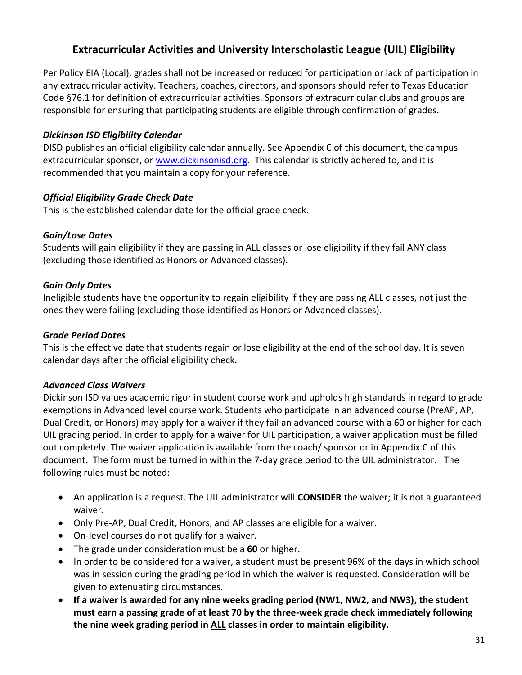# **Extracurricular Activities and University Interscholastic League (UIL) Eligibility**

Per Policy EIA (Local), grades shall not be increased or reduced for participation or lack of participation in any extracurricular activity. Teachers, coaches, directors, and sponsors should refer to Texas Education Code §76.1 for definition of extracurricular activities. Sponsors of extracurricular clubs and groups are responsible for ensuring that participating students are eligible through confirmation of grades.

### *Dickinson ISD Eligibility Calendar*

DISD publishes an official eligibility calendar annually. See Appendix C of this document, the campus extracurricular sponsor, or [www.dickinsonisd.org.](http://www.dickinsonisd.org/) This calendar is strictly adhered to, and it is recommended that you maintain a copy for your reference.

### *Official Eligibility Grade Check Date*

This is the established calendar date for the official grade check.

### *Gain/Lose Dates*

Students will gain eligibility if they are passing in ALL classes or lose eligibility if they fail ANY class (excluding those identified as Honors or Advanced classes).

### *Gain Only Dates*

Ineligible students have the opportunity to regain eligibility if they are passing ALL classes, not just the ones they were failing (excluding those identified as Honors or Advanced classes).

### *Grade Period Dates*

This is the effective date that students regain or lose eligibility at the end of the school day. It is seven calendar days after the official eligibility check.

### *Advanced Class Waivers*

Dickinson ISD values academic rigor in student course work and upholds high standards in regard to grade exemptions in Advanced level course work. Students who participate in an advanced course (PreAP, AP, Dual Credit, or Honors) may apply for a waiver if they fail an advanced course with a 60 or higher for each UIL grading period. In order to apply for a waiver for UIL participation, a waiver application must be filled out completely. The waiver application is available from the coach/ sponsor or in Appendix C of this document. The form must be turned in within the 7-day grace period to the UIL administrator. The following rules must be noted:

- An application is a request. The UIL administrator will **CONSIDER** the waiver; it is not a guaranteed waiver.
- Only Pre-AP, Dual Credit, Honors, and AP classes are eligible for a waiver.
- On-level courses do not qualify for a waiver.
- The grade under consideration must be a **60** or higher.
- In order to be considered for a waiver, a student must be present 96% of the days in which school was in session during the grading period in which the waiver is requested. Consideration will be given to extenuating circumstances.
- **If a waiver is awarded for any nine weeks grading period (NW1, NW2, and NW3), the student must earn a passing grade of at least 70 by the three-week grade check immediately following the nine week grading period in ALL classes in order to maintain eligibility.**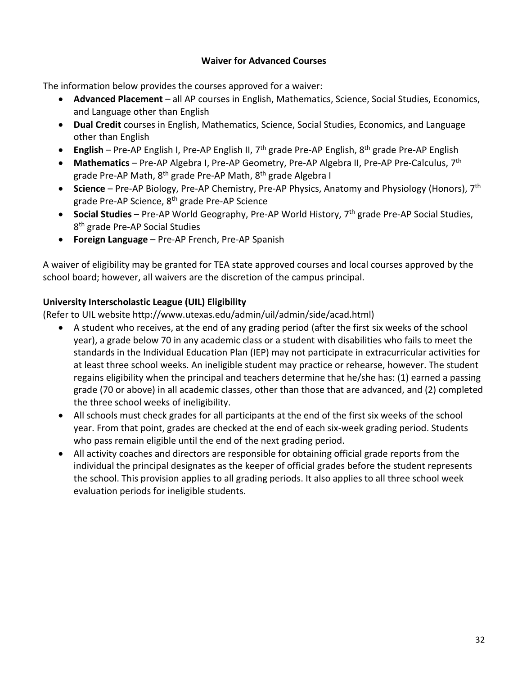### **Waiver for Advanced Courses**

The information below provides the courses approved for a waiver:

- **Advanced Placement** all AP courses in English, Mathematics, Science, Social Studies, Economics, and Language other than English
- **Dual Credit** courses in English, Mathematics, Science, Social Studies, Economics, and Language other than English
- **English** Pre-AP English I, Pre-AP English II, 7<sup>th</sup> grade Pre-AP English, 8<sup>th</sup> grade Pre-AP English
- **Mathematics** Pre-AP Algebra I, Pre-AP Geometry, Pre-AP Algebra II, Pre-AP Pre-Calculus, 7th grade Pre-AP Math, 8<sup>th</sup> grade Pre-AP Math, 8<sup>th</sup> grade Algebra I
- **Science** Pre-AP Biology, Pre-AP Chemistry, Pre-AP Physics, Anatomy and Physiology (Honors), 7th grade Pre-AP Science, 8th grade Pre-AP Science
- **Social Studies** Pre-AP World Geography, Pre-AP World History, 7<sup>th</sup> grade Pre-AP Social Studies, 8<sup>th</sup> grade Pre-AP Social Studies
- **Foreign Language** Pre-AP French, Pre-AP Spanish

A waiver of eligibility may be granted for TEA state approved courses and local courses approved by the school board; however, all waivers are the discretion of the campus principal.

# **University Interscholastic League (UIL) Eligibility**

(Refer to UIL website http://www.utexas.edu/admin/uil/admin/side/acad.html)

- A student who receives, at the end of any grading period (after the first six weeks of the school year), a grade below 70 in any academic class or a student with disabilities who fails to meet the standards in the Individual Education Plan (IEP) may not participate in extracurricular activities for at least three school weeks. An ineligible student may practice or rehearse, however. The student regains eligibility when the principal and teachers determine that he/she has: (1) earned a passing grade (70 or above) in all academic classes, other than those that are advanced, and (2) completed the three school weeks of ineligibility.
- All schools must check grades for all participants at the end of the first six weeks of the school year. From that point, grades are checked at the end of each six-week grading period. Students who pass remain eligible until the end of the next grading period.
- All activity coaches and directors are responsible for obtaining official grade reports from the individual the principal designates as the keeper of official grades before the student represents the school. This provision applies to all grading periods. It also applies to all three school week evaluation periods for ineligible students.